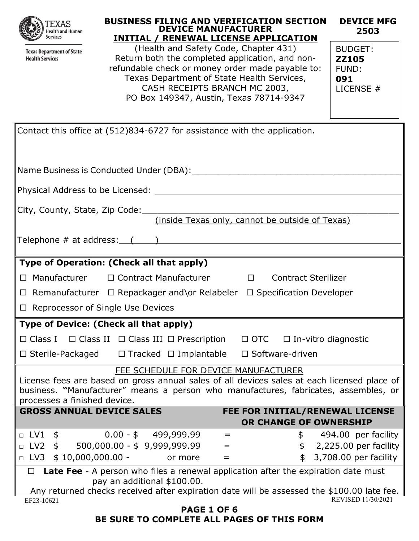|  | $-XAT$<br><b>Health and Human</b><br><b>Services</b> |
|--|------------------------------------------------------|
|--|------------------------------------------------------|

**Texas Department of State Health Services** 

| <b>BUSINESS FILING AND VERIFICATION SECTION</b><br><b>DEVICE MANUFACTURER</b><br><b>INITIAL / RENEWAL LICENSE APPLICATION</b> | <b>DEVICE MFG</b><br>2503 |
|-------------------------------------------------------------------------------------------------------------------------------|---------------------------|
| (Health and Safety Code, Chapter 431)                                                                                         | BUDGET:                   |

**ZZ105** FUND: **091**

LICENSE #

Contact this office at (512)834-6727 for assistance with the application.

| Name Business is Conducted Under (DBA): \\connection = \\connection = \\connection = \\connection = \\connectio                                                                                                                                            |  |  |  |  |
|------------------------------------------------------------------------------------------------------------------------------------------------------------------------------------------------------------------------------------------------------------|--|--|--|--|
|                                                                                                                                                                                                                                                            |  |  |  |  |
| City, County, State, Zip Code:                                                                                                                                                                                                                             |  |  |  |  |
| (inside Texas only, cannot be outside of Texas)                                                                                                                                                                                                            |  |  |  |  |
| Telephone $\#$ at address: $($ and $)$ and $($ and $)$ and $($ and $)$ and $($ and $)$ and $($ and $)$ and $($ and $)$ and $($ and $)$ and $($ and $)$ and $($ and $)$ and $($ and $)$ and $($ and $)$ and $($ and $)$ and $($                             |  |  |  |  |
| Type of Operation: (Check all that apply)                                                                                                                                                                                                                  |  |  |  |  |
| □ Contract Manufacturer □ Contract Sterilizer<br>□ Manufacturer                                                                                                                                                                                            |  |  |  |  |
| $\Box$ Remanufacturer $\Box$ Repackager and \or Relabeler $\Box$ Specification Developer                                                                                                                                                                   |  |  |  |  |
| $\Box$ Reprocessor of Single Use Devices                                                                                                                                                                                                                   |  |  |  |  |
| Type of Device: (Check all that apply)                                                                                                                                                                                                                     |  |  |  |  |
| $\Box$ Class I $\Box$ Class II $\Box$ Class III $\Box$ Prescription $\Box$ OTC $\Box$ In-vitro diagnostic                                                                                                                                                  |  |  |  |  |
| □ Sterile-Packaged □ Tracked □ Implantable □ Software-driven                                                                                                                                                                                               |  |  |  |  |
| FEE SCHEDULE FOR DEVICE MANUFACTURER<br>License fees are based on gross annual sales of all devices sales at each licensed place of<br>business. "Manufacturer" means a person who manufactures, fabricates, assembles, or<br>processes a finished device. |  |  |  |  |
| <b>GROSS ANNUAL DEVICE SALES</b><br>FEE FOR INITIAL/RENEWAL LICENSE                                                                                                                                                                                        |  |  |  |  |
| OR CHANGE OF OWNERSHIP                                                                                                                                                                                                                                     |  |  |  |  |
| $\Box$ LV1<br>$0.00 - $ 499,999.99$<br>$\updownarrow$<br>494.00 per facility<br>\$<br>$=$                                                                                                                                                                  |  |  |  |  |
| 500,000.00 - \$9,999,999.99<br>$\Box$ LV2 \$<br>\$ 2,225.00 per facility<br>$=$<br>$\Box$ LV3 \$10,000,000.00 -<br>\$ 3,708.00 per facility<br>or more<br>$=$                                                                                              |  |  |  |  |
|                                                                                                                                                                                                                                                            |  |  |  |  |
| Late Fee - A person who files a renewal application after the expiration date must<br>$\Box$<br>pay an additional \$100.00.                                                                                                                                |  |  |  |  |
| Any returned checks received after expiration date will be assessed the \$100.00 late fee.                                                                                                                                                                 |  |  |  |  |
| <b>REVISED 11/30/2021</b><br>EF23-10621                                                                                                                                                                                                                    |  |  |  |  |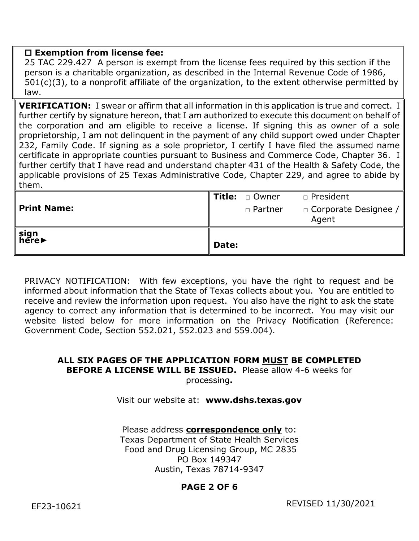### **Exemption from license fee:**

25 TAC 229.427 A person is exempt from the license fees required by this section if the person is a charitable organization, as described in the Internal Revenue Code of 1986, 501(c)(3), to a nonprofit affiliate of the organization, to the extent otherwise permitted by law.

**VERIFICATION:** I swear or affirm that all information in this application is true and correct. I further certify by signature hereon, that I am authorized to execute this document on behalf of the corporation and am eligible to receive a license. If signing this as owner of a sole proprietorship, I am not delinquent in the payment of any child support owed under Chapter 232, Family Code. If signing as a sole proprietor, I certify I have filed the assumed name certificate in appropriate counties pursuant to Business and Commerce Code, Chapter 36. I further certify that I have read and understand chapter 431 of the Health & Safety Code, the applicable provisions of 25 Texas Administrative Code, Chapter 229, and agree to abide by them.

| <b>Print Name:</b><br>' sign<br>here▶ |       | □ Partner | $\Box$ Corporate Designee /  <br>Agent |
|---------------------------------------|-------|-----------|----------------------------------------|
|                                       | Date: |           |                                        |

PRIVACY NOTIFICATION: With few exceptions, you have the right to request and be informed about information that the State of Texas collects about you. You are entitled to receive and review the information upon request. You also have the right to ask the state agency to correct any information that is determined to be incorrect. You may visit our website listed below for more information on the Privacy Notification (Reference: Government Code, Section 552.021, 552.023 and 559.004).

# **ALL SIX PAGES OF THE APPLICATION FORM MUST BE COMPLETED BEFORE A LICENSE WILL BE ISSUED.** Please allow 4-6 weeks for

processing**.** 

#### Visit our website at: **www.dshs.texas.gov**

Please address **correspondence only** to: Texas Department of State Health Services Food and Drug Licensing Group, MC 2835 PO Box 149347 Austin, Texas 78714-9347

## **PAGE 2 OF 6**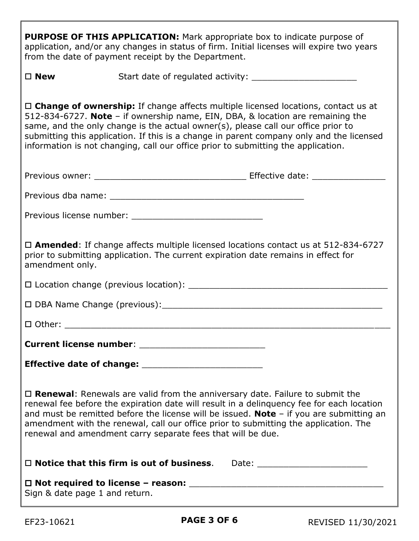| <b>PURPOSE OF THIS APPLICATION:</b> Mark appropriate box to indicate purpose of<br>application, and/or any changes in status of firm. Initial licenses will expire two years<br>from the date of payment receipt by the Department.                                                                                                                                                                                                         |                                                                                                                                                                                                                                                                                                                                                                                                                                                  |  |  |
|---------------------------------------------------------------------------------------------------------------------------------------------------------------------------------------------------------------------------------------------------------------------------------------------------------------------------------------------------------------------------------------------------------------------------------------------|--------------------------------------------------------------------------------------------------------------------------------------------------------------------------------------------------------------------------------------------------------------------------------------------------------------------------------------------------------------------------------------------------------------------------------------------------|--|--|
| $\square$ New                                                                                                                                                                                                                                                                                                                                                                                                                               |                                                                                                                                                                                                                                                                                                                                                                                                                                                  |  |  |
|                                                                                                                                                                                                                                                                                                                                                                                                                                             | $\Box$ Change of ownership: If change affects multiple licensed locations, contact us at<br>512-834-6727. Note - if ownership name, EIN, DBA, & location are remaining the<br>same, and the only change is the actual owner(s), please call our office prior to<br>submitting this application. If this is a change in parent company only and the licensed<br>information is not changing, call our office prior to submitting the application. |  |  |
|                                                                                                                                                                                                                                                                                                                                                                                                                                             |                                                                                                                                                                                                                                                                                                                                                                                                                                                  |  |  |
|                                                                                                                                                                                                                                                                                                                                                                                                                                             |                                                                                                                                                                                                                                                                                                                                                                                                                                                  |  |  |
|                                                                                                                                                                                                                                                                                                                                                                                                                                             |                                                                                                                                                                                                                                                                                                                                                                                                                                                  |  |  |
| $\Box$ <b>Amended</b> : If change affects multiple licensed locations contact us at 512-834-6727<br>prior to submitting application. The current expiration date remains in effect for<br>amendment only.                                                                                                                                                                                                                                   |                                                                                                                                                                                                                                                                                                                                                                                                                                                  |  |  |
|                                                                                                                                                                                                                                                                                                                                                                                                                                             |                                                                                                                                                                                                                                                                                                                                                                                                                                                  |  |  |
|                                                                                                                                                                                                                                                                                                                                                                                                                                             |                                                                                                                                                                                                                                                                                                                                                                                                                                                  |  |  |
|                                                                                                                                                                                                                                                                                                                                                                                                                                             |                                                                                                                                                                                                                                                                                                                                                                                                                                                  |  |  |
|                                                                                                                                                                                                                                                                                                                                                                                                                                             |                                                                                                                                                                                                                                                                                                                                                                                                                                                  |  |  |
|                                                                                                                                                                                                                                                                                                                                                                                                                                             |                                                                                                                                                                                                                                                                                                                                                                                                                                                  |  |  |
| $\Box$ <b>Renewal:</b> Renewals are valid from the anniversary date. Failure to submit the<br>renewal fee before the expiration date will result in a delinguency fee for each location<br>and must be remitted before the license will be issued. Note $-$ if you are submitting an<br>amendment with the renewal, call our office prior to submitting the application. The<br>renewal and amendment carry separate fees that will be due. |                                                                                                                                                                                                                                                                                                                                                                                                                                                  |  |  |
|                                                                                                                                                                                                                                                                                                                                                                                                                                             | $\Box$ Notice that this firm is out of business.                                                                                                                                                                                                                                                                                                                                                                                                 |  |  |
| Sign & date page 1 and return.                                                                                                                                                                                                                                                                                                                                                                                                              |                                                                                                                                                                                                                                                                                                                                                                                                                                                  |  |  |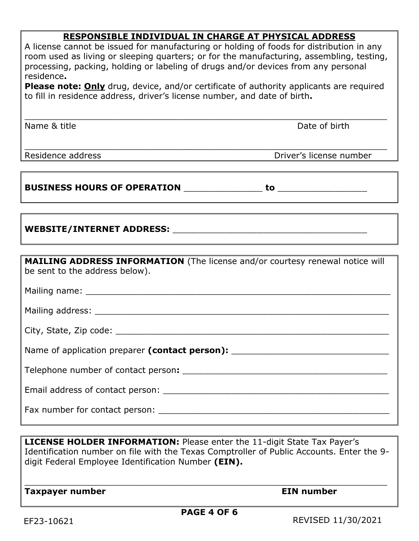# **RESPONSIBLE INDIVIDUAL IN CHARGE AT PHYSICAL ADDRESS**

| A license cannot be issued for manufacturing or holding of foods for distribution in any<br>room used as living or sleeping quarters; or for the manufacturing, assembling, testing,<br>processing, packing, holding or labeling of drugs and/or devices from any personal<br>residence.<br><b>Please note: Only</b> drug, device, and/or certificate of authority applicants are required<br>to fill in residence address, driver's license number, and date of birth. |                         |  |  |  |
|-------------------------------------------------------------------------------------------------------------------------------------------------------------------------------------------------------------------------------------------------------------------------------------------------------------------------------------------------------------------------------------------------------------------------------------------------------------------------|-------------------------|--|--|--|
| Name & title                                                                                                                                                                                                                                                                                                                                                                                                                                                            | Date of birth           |  |  |  |
| Residence address                                                                                                                                                                                                                                                                                                                                                                                                                                                       | Driver's license number |  |  |  |
|                                                                                                                                                                                                                                                                                                                                                                                                                                                                         |                         |  |  |  |
| WEBSITE/INTERNET ADDRESS: National Address of the Magazine Address of the Magazine Address of the Magazine Address of the Magazine Address of the Magazine Address of the Magazine Address of the Magazine Address of the Maga                                                                                                                                                                                                                                          |                         |  |  |  |
| <b>MAILING ADDRESS INFORMATION</b> (The license and/or courtesy renewal notice will<br>be sent to the address below).                                                                                                                                                                                                                                                                                                                                                   |                         |  |  |  |
|                                                                                                                                                                                                                                                                                                                                                                                                                                                                         |                         |  |  |  |
|                                                                                                                                                                                                                                                                                                                                                                                                                                                                         |                         |  |  |  |
|                                                                                                                                                                                                                                                                                                                                                                                                                                                                         |                         |  |  |  |
| Name of application preparer (contact person): _________________________________                                                                                                                                                                                                                                                                                                                                                                                        |                         |  |  |  |
|                                                                                                                                                                                                                                                                                                                                                                                                                                                                         |                         |  |  |  |
|                                                                                                                                                                                                                                                                                                                                                                                                                                                                         |                         |  |  |  |
|                                                                                                                                                                                                                                                                                                                                                                                                                                                                         |                         |  |  |  |

**LICENSE HOLDER INFORMATION:** Please enter the 11-digit State Tax Payer's Identification number on file with the Texas Comptroller of Public Accounts. Enter the 9 digit Federal Employee Identification Number **(EIN).**

**Taxpayer number Community Community Community Community Community Community Community Community Community Community** 

\_\_\_\_\_\_\_\_\_\_\_\_\_\_\_\_\_\_\_\_\_\_\_\_\_\_\_\_\_\_\_\_\_\_\_\_\_\_\_\_\_\_\_\_\_\_\_\_\_\_\_\_\_\_\_\_\_\_\_\_\_\_\_\_\_\_\_\_\_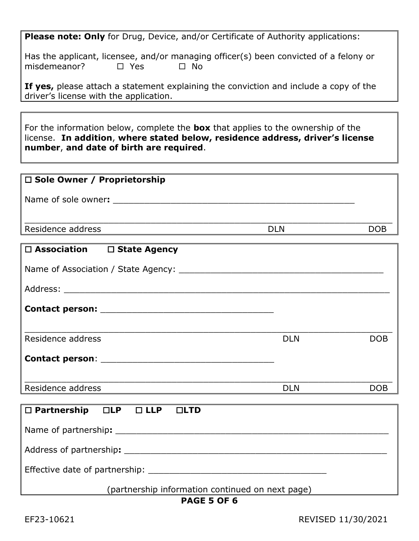**Please note: Only** for Drug, Device, and/or Certificate of Authority applications:

Has the applicant, licensee, and/or managing officer(s) been convicted of a felony or misdemeanor?  $\square$  Yes  $\square$  No

**If yes,** please attach a statement explaining the conviction and include a copy of the driver's license with the application.

For the information below, complete the **box** that applies to the ownership of the license. **In addition**, **where stated below, residence address, driver's license number**, **and date of birth are required**.

| $\Box$ Sole Owner / Proprietorship |     |     |
|------------------------------------|-----|-----|
| Name of sole owner:                |     |     |
| Residence address                  | DLN | DOB |

| $\Box$ Association $\Box$ State Agency                         |            |            |
|----------------------------------------------------------------|------------|------------|
|                                                                |            |            |
|                                                                |            |            |
|                                                                |            |            |
|                                                                |            |            |
| Residence address                                              | <b>DLN</b> | <b>DOB</b> |
|                                                                |            |            |
|                                                                |            |            |
| Residence address                                              | <b>DLN</b> | <b>DOB</b> |
|                                                                |            |            |
| $\square$ Partnership $\square$ LP $\square$ LLP $\square$ LTD |            |            |
|                                                                |            |            |
|                                                                |            |            |
|                                                                |            |            |
| (n                                                             |            |            |

(partnership information continued on next page)

# **PAGE 5 OF 6**